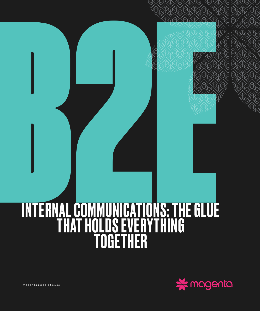INTERNAL COMMUNICATIONS: THE GLUI INTERNAL COMMUNICATIONS: THE GLUE THAT HOLDS EVERYTHING TOGETHER



magentaassociates.co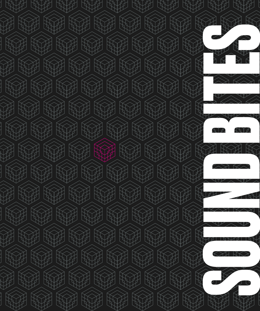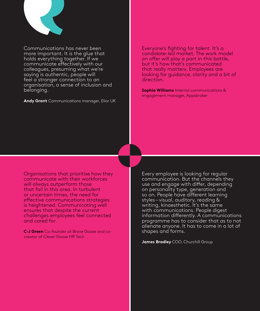

**SOUND BITES**

Communications has never been more important. It is the glue that holds everything together. If we communicate effectively with our colleagues, presuming what we're saying is authentic, people will feel a stronger connection to an organisation, a sense of inclusion and belonging.

**Andy Grant** Communications manager, Elior UK

Everyone's fighting for talent. It's a candidate-led market. The work model on offer will play a part in this battle, but it's how that's communicated that really matters. Employees are looking for guidance, clarity and a bit of direction.

**Sophia Williams** Internal communications & engagement manager, Appsbroker

Organisations that prioritise how they communicate with their workforces will always outperform those that fail in this area. In turbulent or uncertain times, the need for effective communications strategies is heightened. Communicating well ensures that despite the current challenges employees feel connected and cared for.

**C-J Green** Co-founder at Brave Goose and cocreator of Clever Goose HR Tech

Every employee is looking for regular communication. But the channels they use and engage with differ, depending on personality type, generation and so on. People have different learning styles – visual, auditory, reading & writing, kingesthetic. It's the same with communications. People digest information differently. A communications programme has to consider that as to not alienate anyone. It has to come in a lot of shapes and forms.

**James Bradley** COO, Churchill Group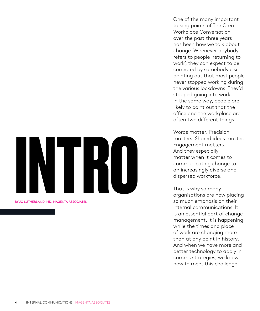# **INTRO**

BY JO SUTHERLAND, MD, MAGENTA ASSOCIATES

One of the many important talking points of The Great Workplace Conversation over the past three years has been how we talk about change. Whenever anybody refers to people 'returning to work', they can expect to be corrected by somebody else pointing out that most people never stopped working during the various lockdowns. They'd stopped going into work. In the same way, people are likely to point out that the office and the workplace are often two different things.

Words matter. Precision matters. Shared ideas matter. Engagement matters. And they especially matter when it comes to communicating change to an increasingly diverse and dispersed workforce.

That is why so many organisations are now placing so much emphasis on their internal communications. It is an essential part of change management. It is happening while the times and place of work are changing more than at any point in history. And when we have more and better technology to apply in comms strategies, we know how to meet this challenge.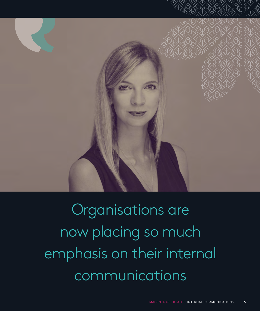

Organisations are now placing so much emphasis on their internal communications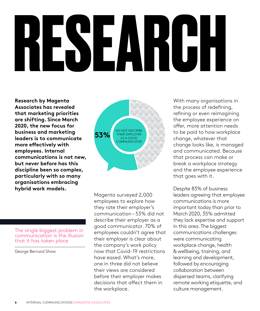# **RESEARCH**

**Research by Magenta Associates has revealed that marketing priorities are shifting. Since March 2020, the new focus for business and marketing leaders is to communicate more effectively with employees. Internal communications is not new, but never before has this discipline been so complex, particularly with so many organisations embracing hybrid work models.** 

### The single biggest problem in communication is the illusion that it has taken place

George Bernard Shaw



Magenta surveyed 2,000 employees to explore how they rate their employer's communication – 53% did not describe their employer as a good communicator. 70% of employees couldn't agree that their employer is clear about the company's work policy now that Covid-19 restrictions have eased. What's more, one in three did not believe their views are considered before their employer makes decisions that affect them in the workplace.

With many organisations in the process of redefining, refining or even reimagining the employee experience on offer, more attention needs to be paid to how workplace change, whatever that change looks like, is managed and communicated. Because that process can make or break a workplace strategy and the employee experience that goes with it.

Despite 83% of business leaders agreeing that employee communications is more important today than prior to March 2020, 35% admitted they lack expertise and support in this area. The biggest communications challenges were communicating workplace change, health & wellbeing, training, and learning and development, followed by encouraging collaboration between dispersed teams, clarifying remote working etiquette, and culture management.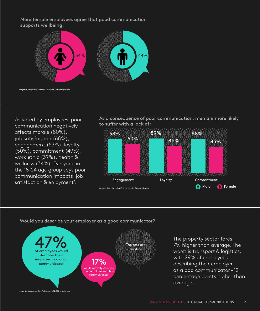More female employees agree that good communication supports wellbeing:



As voted by employees, poor communication negatively affects morale (80%), job satisfaction (68%), engagement (53%), loyalty (50%), commitment (49%), work ethic (39%), health & wellness (34%). Everyone in the 18-24 age group says poor communication impacts 'job satisfaction & enjoyment'.

As a consequence of poor communication, men are more likely to suffer with a lack of:



Would you describe your employer as a good communicator?



The property sector fares 7% higher than average. The worst is transport & logistics, with 29% of employees describing their employer as a bad communicator – 12 percentage points higher than average.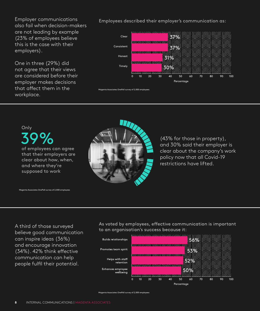Employer communications also fail when decision-makers are not leading by example (23% of employees believe this is the case with their employers).

One in three (29%) did not agree that their views are considered before their employer makes decisions that affect them in the workplace.

Employees described their employer's communication as:





of employees can agree that their employers are clear about how, when, and where they're supposed to work Only 39%

Magenta Associates OnePoll survey of 2,000 employees

and 30% said their employer is clear about the company's work policy now that all Covid-19 restrictions have lifted.

A third of those surveyed believe good communication can inspire ideas (36%) and encourage innovation (34%). 42% think effective communication can help people fulfil their potential.



Magenta Associates OnePoll survey of 2,000 employees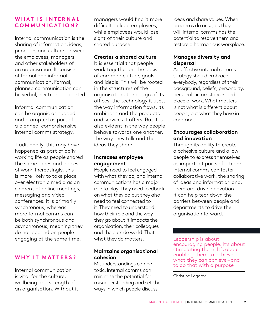### WHAT IS INTERNAL **COMMUNICATION?**

Internal communication is the sharing of information, ideas, principles and culture between the employees, managers and other stakeholders of an organisation. It consists of formal and informal communication. Formal, planned communication can be verbal, electronic or printed.

Informal communication can be organic or nudged and prompted as part of a planned, comprehensive internal comms strategy.

Traditionally, this may have happened as part of daily working life as people shared the same times and places of work. Increasingly, this is more likely to take place over electronic media as an element of online meetings, messaging and video conferences. It is primarily synchronous, whereas more formal comms can be both synchronous and asynchronous, meaning they do not depend on people engaging at the same time.

## **WHY IT MATTERS?**

Internal communication is vital for the culture, wellbeing and strength of an organisation. Without it,

managers would find it more difficult to lead employees, while employees would lose sight of their culture and shared purpose.

### **Creates a shared culture**

It is essential that people work together on the basis of common culture, goals and ideals. This will be rooted in the structures of the organisation, the design of its offices, the technology it uses, the way information flows, its ambitions and the products and services it offers. But it is also evident in the way people behave towards one another, the way they talk and the ideas they share.

### **Increases employee engagement**

People need to feel engaged with what they do, and internal communications has a major role to play. They need feedback on what they do but they also need to feel connected to it. They need to understand how their role and the way they go about it impacts the organisation, their colleagues and the outside world. That what they do matters.

# **Maintains organisational cohesion**

Misunderstandings can be toxic. Internal comms can minimise the potential for misunderstanding and set the ways in which people discuss

ideas and share values. When problems do arise, as they will, internal comms has the potential to resolve them and restore a harmonious workplace.

# **Manages diversity and dispersal**

An effective internal comms strategy should embrace everybody, regardless of their background, beliefs, personality, personal circumstances and place of work. What matters is not what is different about people, but what they have in common.

## **Encourages collaboration and innovation**

Through its ability to create a cohesive culture and allow people to express themselves as important parts of a team, internal comms can foster collaborative work, the sharing of ideas and information and, therefore, drive innovation. It can help tear down the barriers between people and departments to drive the organisation forward.

Leadership is about encouraging people. It's about stimulating them. It's about enabling them to achieve what they can achieve – and to do that with a purpose

Christine Lagarde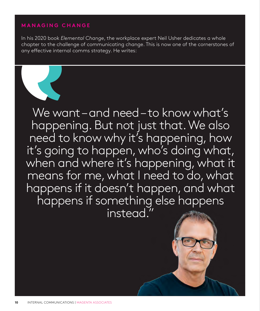# **MANAGING CHANGE**

In his 2020 book *Elemental Change*, the workplace expert Neil Usher dedicates a whole chapter to the challenge of communicating change. This is now one of the cornerstones of any effective internal comms strategy. He writes:

We want-and need-to know what's happening. But not just that. We also need to know why it's happening, how it's going to happen, who's doing what, when and where it's happening, what it means for me, what I need to do, what happens if it doesn't happen, and what happens if something else happens instead."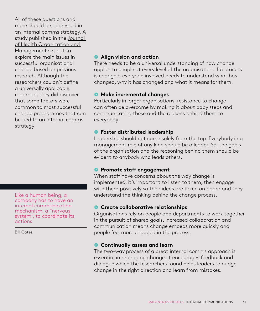All of these questions and more should be addressed in an internal comms strategy. A study published in the [Journal](https://pubmed.ncbi.nlm.nih.gov/26964847/)  [of Health Organization and](https://pubmed.ncbi.nlm.nih.gov/26964847/)  [Management](https://pubmed.ncbi.nlm.nih.gov/26964847/) set out to explore the main issues in successful organisational change based on previous research. Although the researchers couldn't define a universally applicable roadmap, they did discover that some factors were common to most successful change programmes that can be tied to an internal comms strategy.

Like a human being, a company has to have an internal communication mechanism, a "nervous system", to coordinate its actions

Bill Gates

### $\bullet$  Align vision and action

There needs to be a universal understanding of how change applies to people at every level of the organisation. If a process is changed, everyone involved needs to understand what has changed, why it has changed and what it means for them.

### **a** Make incremental changes

Particularly in larger organisations, resistance to change can often be overcome by making it about baby steps and communicating these and the reasons behind them to everybody.

## **O** Foster distributed leadership

Leadership should not come solely from the top. Everybody in a management role of any kind should be a leader. So, the goals of the organisation and the reasoning behind them should be evident to anybody who leads others.

## **P** Promote staff engagement

When staff have concerns about the way change is implemented, it's important to listen to them, then engage with them positively so their ideas are taken on board and they understand the thinking behind the change process.

## **O** Create collaborative relationships

Organisations rely on people and departments to work together in the pursuit of shared goals. Increased collaboration and communication means change embeds more quickly and people feel more engaged in the process.

## **Continually assess and learn**

The two-way process of a great internal comms approach is essential in managing change. It encourages feedback and dialogue which the researchers found helps leaders to nudge change in the right direction and learn from mistakes.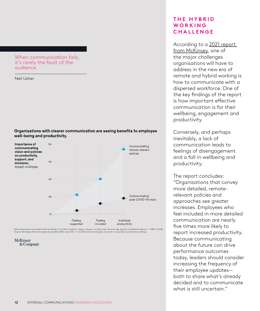When communication fails, it's rarely the fault of the audience

Neil Usher

### Organisations with clearer communication are seeing benefits to employee well-being and productivity.



Note: All analyses conducted while controlling for all other predictors, region, industry, company size, job level, age, gender, and parental status (n = 4,854-5,043).<br>Source: Reimagine Work: Employee Survey (Dec 2020–Jan

McKinsey & Company

### **T H E H Y B R I D W O R K I N G CHALLENGE**

According to a [2021 report](https://www.mckinsey.com/business-functions/people-and-organizational-performance/our-insights/what-employees-are-saying-about-the-future-of-remote-work)  [from McKinsey](https://www.mckinsey.com/business-functions/people-and-organizational-performance/our-insights/what-employees-are-saying-about-the-future-of-remote-work), one of the major challenges organisations will have to address in the new era of remote and hybrid working is how to communicate with a dispersed workforce. One of the key findings of the report is how important effective communication is for their wellbeing, engagement and productivity.

Conversely, and perhaps inevitably, a lack of communication leads to feelings of disengagement and a fall in wellbeing and productivity.

The report concludes: "Organisations that convey more detailed, remoterelevant policies and approaches see greater increases. Employees who feel included in more detailed communication are nearly five times more likely to report increased productivity. Because communicating about the future can drive performance outcomes today, leaders should consider increasing the frequency of their employee updates both to share what's already decided and to communicate what is still uncertain."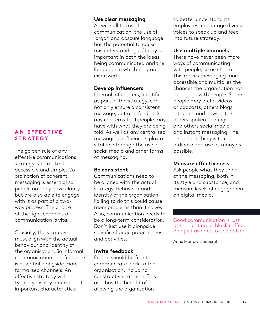## **A N E F F E C T I V E STRATEGY**

The golden rule of any effective communications strategy is to make it accessible and simple. Coordination of coherent messaging is essential so people not only have clarity but are also able to engage with it as part of a twoway process. The choice of the right channels of communication is vital.

Crucially, the strategy must align with the actual behaviour and identity of the organisation. So informal communication and feedback is essential alongside more formalised channels. An effective strategy will typically display a number of important characteristics:

### **Use clear messaging**

As with all forms of communication, the use of jargon and obscure language has the potential to cause misunderstandings. Clarity is important in both the ideas being communicated and the language in which they are expressed.

### **Develop influencers**

Internal influencers, identified as part of the strategy, can not only ensure a consistent message, but also feedback any concerns that people may have with what they are being told. As well as any centralised messaging, influencers play a vital role through the use of social media and other forms of messaging.

### **Be consistent**

Communications need to be aligned with the actual strategy, behaviour and identity of the organisation. Failing to do this could cause more problems than it solves. Also, communication needs to be a long-term consideration. Don't just use it alongside specific change programmes and activities.

### **Invite feedback**

People should be free to communicate back to the organisation, including constructive criticism. This also has the benefit of allowing the organisation

to better understand its employees, encourage diverse voices to speak up and feed into future strategy.

# **Use multiple channels**

There have never been more ways of communicating with people, so use them. This makes messaging more accessible and multiplies the chances the organisation has to engage with people. Some people may prefer videos or podcasts, others blogs, intranets and newsletters, others spoken briefings, and others social media and instant messaging. The important thing is to coordinate and use as many as possible.

### **Measure effectiveness**

Ask people what they think of the messaging, both in its style and substance, and measure levels of engagement on digital media.

Good communication is just as stimulating as black coffee, and just as hard to sleep after

Anne Morrow Lindbergh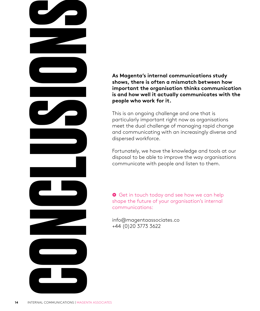

**As Magenta's internal communications study shows, there is often a mismatch between how important the organisation thinks communication is and how well it actually communicates with the people who work for it.** 

This is an ongoing challenge and one that is particularly important right now as organisations meet the dual challenge of managing rapid change and communicating with an increasingly diverse and dispersed workforce.

Fortunately, we have the knowledge and tools at our disposal to be able to improve the way organisations communicate with people and listen to them.

**O** Get in touch today and see how we can help shape the future of your organisation's internal communications:

info@magentaassociates.co +44 (0)20 3773 3622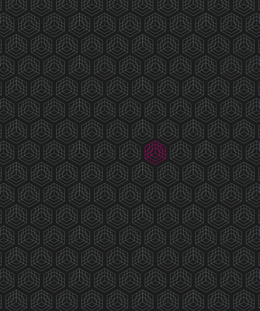$\begin{minipage}{0.5\linewidth} \begin{tabular}{|c|c|c|c|c|c|} \hline \multicolumn{1}{|c|}{\textbf{A}} & \multicolumn{1}{|c|}{\textbf{B}} & \multicolumn{1}{|c|}{\textbf{B}} & \multicolumn{1}{|c|}{\textbf{B}} & \multicolumn{1}{|c|}{\textbf{B}} & \multicolumn{1}{|c|}{\textbf{B}} & \multicolumn{1}{|c|}{\textbf{B}} & \multicolumn{1}{|c|}{\textbf{B}} & \multicolumn{1}{|c|}{\textbf{B}} & \multicolumn{1}{|c|}{\textbf{B}} & \multicolumn$ MAGENTA ASSOCIATES | INTERNAL COMMUNICATIONS **15**